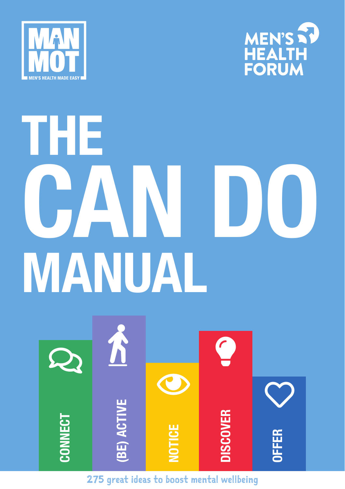



# **THE CAN DO MANUAL**



275 great ideas to boost mental wellbeing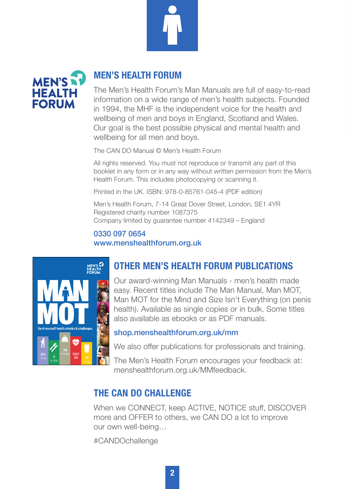



#### **MEN'S HEALTH FORUM**

The Men's Health Forum's Man Manuals are full of easy-to-read information on a wide range of men's health subjects. Founded in 1994, the MHF is the independent voice for the health and wellbeing of men and boys in England, Scotland and Wales. Our goal is the best possible physical and mental health and wellbeing for all men and boys.

The CAN DO Manual © Men's Health Forum

All rights reserved. You must not reproduce or transmit any part of this booklet in any form or in any way without written permission from the Men's Health Forum. This includes photocopying or scanning it.

Printed in the UK. ISBN: 978-0-85761-045-4 (PDF edition)

Men's Health Forum, 7-14 Great Dover Street, London, SE1 4YR Registered charity number 1087375 Company limited by guarantee number 4142349 – England

#### 0330 097 0654 www.menshealthforum.org.uk



#### **OTHER MEN'S HEALTH FORUM PUBLICATIONS**

Our award-winning Man Manuals - men's health made easy. Recent titles include The Man Manual, Man MOT, Man MOT for the Mind and Size Isn't Everything (on penis health). Available as single copies or in bulk. Some titles also available as ebooks or as PDF manuals.

#### shop.menshealthforum.org.uk/mm

We also offer publications for professionals and training.

The Men's Health Forum encourages your feedback at: menshealthforum.org.uk/MMfeedback.

#### **THE CAN DO CHALLENGE**

When we CONNECT, keep ACTIVE, NOTICE stuff, DISCOVER more and OFFER to others, we CAN DO a lot to improve our own well-being…

#CANDOchallenge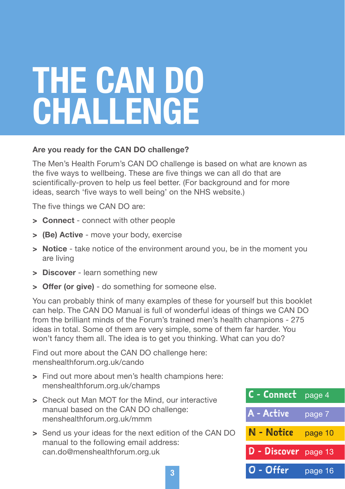# **THE CAN DO CHALLENGE**

#### **Are you ready for the CAN DO challenge?**

The Men's Health Forum's CAN DO challenge is based on what are known as the five ways to wellbeing. These are five things we can all do that are scientifically-proven to help us feel better. (For background and for more ideas, search 'five ways to well being' on the NHS website.)

The five things we CAN DO are:

- > **Connect** connect with other people
- > **(Be) Active** move your body, exercise
- > **Notice** take notice of the environment around you, be in the moment you are living
- > **Discover** learn something new
- > **Offer (or give)** do something for someone else.

You can probably think of many examples of these for yourself but this booklet can help. The CAN DO Manual is full of wonderful ideas of things we CAN DO from the brilliant minds of the Forum's trained men's health champions - 275 ideas in total. Some of them are very simple, some of them far harder. You won't fancy them all. The idea is to get you thinking. What can you do?

Find out more about the CAN DO challenge here: [menshealthforum.org.uk/cando](http://menshealthforum.org.uk/cando)

- > Find out more about men's health champions here: [menshealthforum.org.uk/champs](http://menshealthforum.org.uk/champs)
- > Check out Man MOT for the Mind, our interactive manual based on the CAN DO challenge: [menshealthforum.org.uk/mmm](http://menshealthforum.org.uk/mmm)
- > Send us your ideas for the next edition of the CAN DO manual to the following email address: [can.do@menshealthforum.org.uk](mailto:can.do@menshealthforum.org.uk)

| C - Connect page 4   |         |
|----------------------|---------|
| A - Active           | page 7  |
| N - Notice           | page 10 |
| D - Discover page 13 |         |
| O - Offer            | page 16 |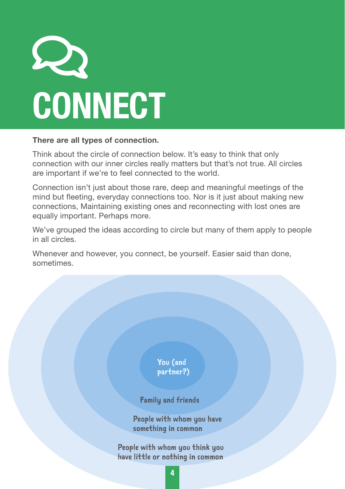

#### **There are all types of connection.**

Think about the circle of connection below. It's easy to think that only connection with our inner circles really matters but that's not true. All circles are important if we're to feel connected to the world.

Connection isn't just about those rare, deep and meaningful meetings of the mind but fleeting, everyday connections too. Nor is it just about making new connections, Maintaining existing ones and reconnecting with lost ones are equally important. Perhaps more.

We've grouped the ideas according to circle but many of them apply to people in all circles.

Whenever and however, you connect, be yourself. Easier said than done, sometimes.

> You (and partner?)

Family and friends

People with whom you have something in common

People with whom you think you have little or nothing in common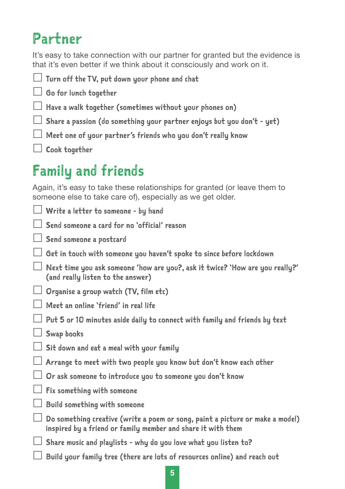# Partner

It's easy to take connection with our partner for granted but the evidence is that it's even better if we think about it consciously and work on it.

Turn off the TV, put down your phone and chat

Go for lunch together

 $\Box$  Have a walk together (sometimes without your phones on)

 $\Box$  Share a passion (do something your partner enjoys but you don't - yet)

 $\Box$  Meet one of your partner's friends who you don't really know

 $\Box$  Cook together

# Family and friends

Again, it's easy to take these relationships for granted (or leave them to someone else to take care of), especially as we get older.

 $\Box$  Write a letter to someone - by hand

 $\vert\ \vert$  Send someone a card for no 'official' reason

Send someone a postcard

 $\Box$  Get in touch with someone you haven't spoke to since before lockdown

 $\Box$  Next time you ask someone 'how are you?, ask it twice? 'How are you really?' (and really listen to the answer)

 $\Box$  Organise a group watch (TV, film etc)

Meet an online 'friend' in real life

 $\Box$  Put 5 or 10 minutes aside daily to connect with family and friends by text

 $\Box$  Swap books

 $\Box$  Sit down and eat a meal with your family

 $\perp$  Arrange to meet with two people you know but don't know each other

 $\perp$  Or ask someone to introduce you to someone you don't know

 $\Box$  Fix something with someone

 $\Box$  Build something with someone

 $\Box$  Do something creative (write a poem or song, paint a picture or make a model) inspired by a friend or family member and share it with them

 $\perp$  Share music and playlists - why do you love what you listen to?

Build your family tree (there are lots of resources online) and reach out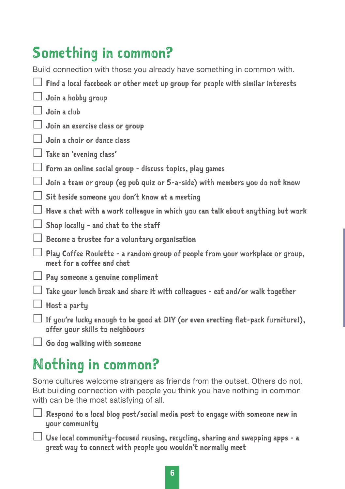# Something in common?

Build connection with those you already have something in common with.

- $\Box$  Find a local facebook or other meet up group for people with similar interests
- $\Box$  Join a hobby group
- $\Box$  Join a club
- $\Box$  Join an exercise class or group
- Join a choir or dance class
- Take an 'evening class'
- $\Box$  Form an online social group discuss topics, play games
- $\Box$  Join a team or group (eg pub quiz or 5-a-side) with members you do not know
- $\Box$  Sit beside someone you don't know at a meeting
- $\Box$  Have a chat with a work colleague in which you can talk about anything but work
- $\Box$  Shop locally and chat to the staff
- $\Box$  Become a trustee for a voluntary organisation
- $\Box$  Play Coffee Roulette a random group of people from your workplace or group, meet for a coffee and chat
- $\Box$  Pay someone a genuine compliment
- $\Box$  Take your lunch break and share it with colleagues eat and/or walk together
- $\Box$  Host a party
- $\Box$  If you're lucky enough to be good at DIY (or even erecting flat-pack furniture!), offer your skills to neighbours
- $\Box$  Go dog walking with someone

# Nothing in common?

Some cultures welcome strangers as friends from the outset. Others do not. But building connection with people you think you have nothing in common with can be the most satisfying of all.

- Respond to a local blog post/social media post to engage with someone new in your community
- $\Box$  Use local community-focused reusing, recycling, sharing and swapping apps a great way to connect with people you wouldn't normally meet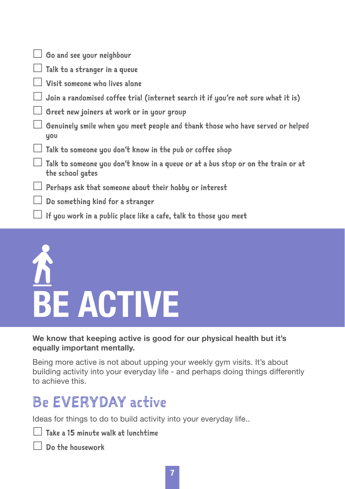| $\Box$ Go and see your neighbour                                                                     |
|------------------------------------------------------------------------------------------------------|
| $\Box$ Talk to a stranger in a queue                                                                 |
| Visit someone who lives alone                                                                        |
| Join a randomised coffee trial (internet search it if you're not sure what it is)                    |
| Greet new joiners at work or in your group                                                           |
| Genuinely smile when you meet people and thank those who have served or helped<br>you                |
| Talk to someone you don't know in the pub or coffee shop                                             |
| Talk to someone you don't know in a queue or at a bus stop or on the train or at<br>the school gates |
| Perhaps ask that someone about their hobby or interest                                               |
| Do something kind for a stranger                                                                     |
| If you work in a public place like a cafe, talk to those you meet                                    |
|                                                                                                      |

# **BE ACTIVE**

#### **We know that keeping active is good for our physical health but it's equally important mentally.**

Being more active is not about upping your weekly gym visits. It's about building activity into your everyday life - and perhaps doing things differently to achieve this.

# Be EVERYDAY active

Ideas for things to do to build activity into your everyday life..

|  |  |  |  |  |  |  | $\Box$ Take a 15 minute walk at lunchtime |
|--|--|--|--|--|--|--|-------------------------------------------|
|--|--|--|--|--|--|--|-------------------------------------------|

Do the housework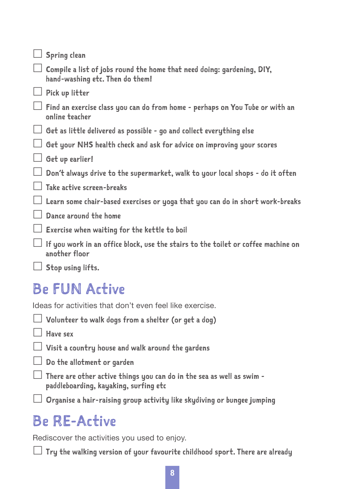| Spring clean                                                                                              |
|-----------------------------------------------------------------------------------------------------------|
| Compile a list of jobs round the home that need doing: gardening, DIY,<br>hand-washing etc. Then do them! |
| Pick up litter                                                                                            |
| Find an exercise class you can do from home - perhaps on You Tube or with an<br>online teacher            |
| Get as little delivered as possible - go and collect everything else                                      |
| Get your NHS health check and ask for advice on improving your scores                                     |
| Get up earlier!                                                                                           |
| Don't always drive to the supermarket, walk to your local shops - do it often                             |
| Take active screen-breaks                                                                                 |
| Learn some chair-based exercises or yoga that you can do in short work-breaks                             |
| Dance around the home                                                                                     |
| Exercise when waiting for the kettle to boil                                                              |
| If you work in an office block, use the stairs to the toilet or coffee machine on<br>another floor        |
| Stop using lifts.                                                                                         |

## Be FUN Active

Ideas for activities that don't even feel like exercise.

|  | $\Box$ Volunteer to walk dogs from a shelter (or get a dog) |  |  |  |  |  |  |  |  |  |  |
|--|-------------------------------------------------------------|--|--|--|--|--|--|--|--|--|--|
|--|-------------------------------------------------------------|--|--|--|--|--|--|--|--|--|--|

 $\Box$  Have sex

 $\Box$  Visit a country house and walk around the gardens

 $\Box$  Do the allotment or garden

 $\Box$  There are other active things you can do in the sea as well as swim paddleboarding, kayaking, surfing etc

 $\Box$  Organise a hair-raising group activity like skydiving or bungee jumping

# Be RE-Active

Rediscover the activities you used to enjoy.

 $\Box$  Try the walking version of your favourite childhood sport. There are already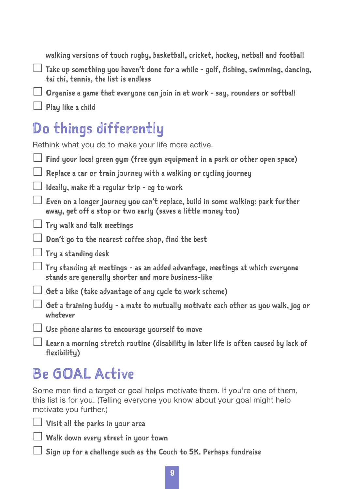walking versions of touch rugby, basketball, cricket, hockey, netball and football

 $\Box$  Take up something you haven't done for a while - golf, fishing, swimming, dancing, tai chi, tennis, the list is endless

 $\Box$  Organise a game that everyone can join in at work - say, rounders or softball

 $\Box$  Play like a child

# Do things differently

Rethink what you do to make your life more active.

| Find your local green gym (free gym equipment in a park or other open space)                                                                    |
|-------------------------------------------------------------------------------------------------------------------------------------------------|
| Replace a car or train journey with a walking or cycling journey                                                                                |
| Ideally, make it a regular trip - eg to work                                                                                                    |
| Even on a longer journey you can't replace, build in some walking: park further<br>away, get off a stop or two early (saves a little money too) |
| $\Box$ Try walk and talk meetings                                                                                                               |
| Don't go to the nearest coffee shop, find the best                                                                                              |
| $\Box$ Try a standing desk                                                                                                                      |
| Try standing at meetings - as an added advantage, meetings at which everyone<br>stands are generally shorter and more business-like             |
| $\Box$ Get a bike (take advantage of any cycle to work scheme)                                                                                  |
| Get a training buddy - a mate to mutually motivate each other as you walk, jog or<br>whatever                                                   |
| Use phone alarms to encourage yourself to move                                                                                                  |
| Learn a morning stretch routine (disability in later life is often caused by lack of<br>flexibility)                                            |

# Be GOAL Active

Some men find a target or goal helps motivate them. If you're one of them, this list is for you. (Telling everyone you know about your goal might help motivate you further.)

 $\Box$  Visit all the parks in your area

 $\Box$  Walk down every street in your town

 $\Box$  Sign up for a challenge such as the Couch to 5K. Perhaps fundraise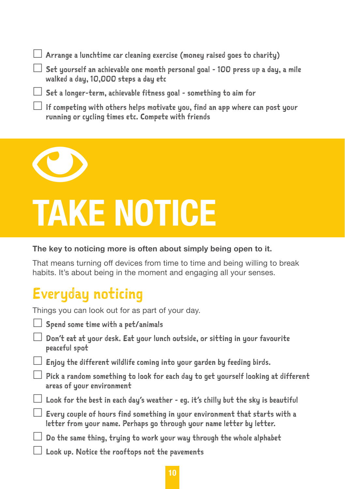| $\Box$ Set yourself an achievable one month personal goal - 100 press up a day, a mile<br>walked a day, 10,000 steps a day etc<br>$\Box$ Set a longer-term, achievable fitness goal - something to aim for | $\Box$ Arrange a lunchtime car cleaning exercise (money raised goes to charity) |
|------------------------------------------------------------------------------------------------------------------------------------------------------------------------------------------------------------|---------------------------------------------------------------------------------|
|                                                                                                                                                                                                            |                                                                                 |
|                                                                                                                                                                                                            |                                                                                 |
| $\Box$ If competing with others helps motivate you, find an app where can post your<br>running or cycling times etc. Compete with friends                                                                  |                                                                                 |



# **TAKE NOTICE**

#### **The key to noticing more is often about simply being open to it.**

That means turning off devices from time to time and being willing to break habits. It's about being in the moment and engaging all your senses.

# Everyday noticing

Things you can look out for as part of your day.

- Spend some time with a pet/animals
- $\Box$  Don't eat at your desk. Eat your lunch outside, or sitting in your favourite peaceful spot
- $\Box$  Enjoy the different wildlife coming into your garden by feeding birds.
- $\Box$  Pick a random something to look for each day to get yourself looking at different areas of your environment
	- $\Box$  Look for the best in each day's weather eg. it's chilly but the sky is beautiful
- $\Box$  Every couple of hours find something in your environment that starts with a letter from your name. Perhaps go through your name letter by letter.
- $\Box$  Do the same thing, truing to work your way through the whole alphabet
	- Look up. Notice the rooftops not the pavements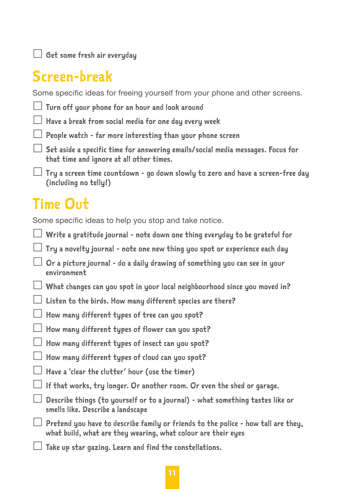$\Box$  Get some fresh air everyday

# Screen-break

Some specific ideas for freeing yourself from your phone and other screens.

| $\Box$ Turn off your phone for an hour and look around |  |  |  |  |  |  |  |
|--------------------------------------------------------|--|--|--|--|--|--|--|
|--------------------------------------------------------|--|--|--|--|--|--|--|

 $\Box$  Have a break from social media for one dau every week

- $\Box$  People watch far more interesting than your phone screen
	- $\Box$  Set aside a specific time for answering emails/social media messages. Focus for that time and ignore at all other times.

 $\Box$  Try a screen time countdown - go down slowly to zero and have a screen-free day (including no telly!)

# Time Out

Some specific ideas to help you stop and take notice.

- $\perp$  Write a gratitude journal note down one thing everyday to be grateful for
- $\Box$  Tru a noveltu journal note one new thing you spot or experience each day
- $\Box$  Or a picture journal do a daily drawing of something you can see in your environment
- $\Box$  What changes can you spot in your local neighbourhood since you moved in?
- $\Box$  Listen to the birds. How many different species are there?
- $\Box$  How many different types of tree can you spot?
- $\Box$  How many different types of flower can you spot?
- $\Box$  How many different types of insect can you spot?
- $\Box$  How many different types of cloud can you spot?
- $\Box$  Have a 'clear the clutter' hour (use the timer)
- $\Box$  If that works, try longer. Or another room. Or even the shed or garage.
- $\Box$  Describe things (to yourself or to a journal) what something tastes like or smells like. Describe a landscape
	- $\Box$  Pretend you have to describe family or friends to the police how tall are they, what build, what are they wearing, what colour are their eyes
- $\Box$  Take up star gazing. Learn and find the constellations.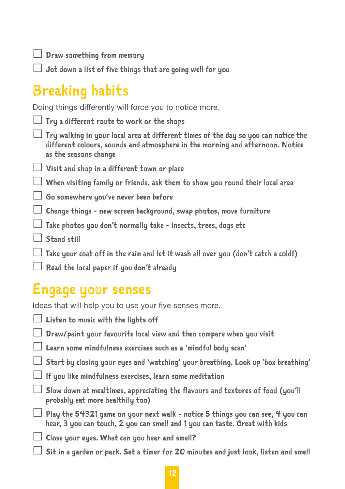$\Box$  Draw something from memory

 $\Box$  Jot down a list of five things that are going well for you

# Breaking habits

Doing things differently will force you to notice more.

- $\Box$  Tru a different route to work or the shops
- $\Box$  Try walking in your local area at different times of the day so you can notice the different colours, sounds and atmosphere in the morning and afternoon. Notice as the seasons change
- $\Box$  Visit and shop in a different town or place
- $\Box$  When visiting family or friends, ask them to show you round their local area
- $\Box$  Go somewhere you've never been before
- $\Box$  Change things new screen background, swap photos, move furniture
- $\perp$  Take photos you don't normally take insects, trees, dogs etc
- Stand still
- $\Box$  Take your coat off in the rain and let it wash all over you (don't catch a cold!)
- $\perp$  Read the local paper if you don't already

### Engage your senses

Ideas that will help you to use your five senses more.

- $\Box$  Listen to music with the lights off
- $\Box$  Draw/paint your favourite local view and then compare when you visit
- Learn some mindfulness exercises such as a 'mindful body scan'
- $\Box$  Start by closing your eyes and 'watching' your breathing. Look up 'box breathing'
- $\perp$  If you like mindfulness exercises, learn some meditation
- $\Box$  Slow down at mealtimes, appreciating the flavours and textures of food (you'll probably eat more healthily too)
- $\Box$  Play the 54321 game on your next walk notice 5 things you can see, 4 you can hear, 3 you can touch, 2 you can smell and 1 you can taste. Great with kids
- $\Box$  Close your eyes. What can you hear and smell?
	- $\Box$  Sit in a garden or park. Set a timer for 20 minutes and iust look. listen and smell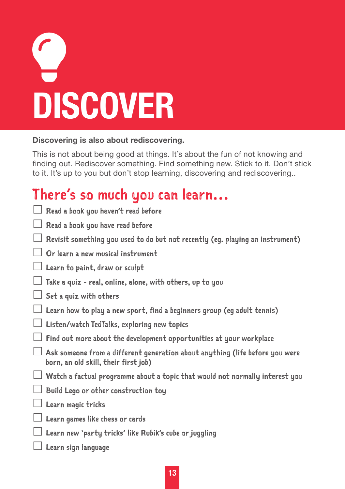| <b>DISCOVER</b> |  |
|-----------------|--|

#### **Discovering is also about rediscovering.**

This is not about being good at things. It's about the fun of not knowing and finding out. Rediscover something. Find something new. Stick to it. Don't stick to it. It's up to you but don't stop learning, discovering and rediscovering..

# There's so much you can learn…

| Read a book you haven't read before                                                                                  |
|----------------------------------------------------------------------------------------------------------------------|
| Read a book you have read before                                                                                     |
| Revisit something you used to do but not recently (eg. playing an instrument)                                        |
| Or learn a new musical instrument                                                                                    |
| Learn to paint, draw or sculpt                                                                                       |
| Take a quiz - real, online, alone, with others, up to you                                                            |
| Set a quiz with others                                                                                               |
| Learn how to play a new sport, find a beginners group (eg adult tennis)                                              |
| Listen/watch TedTalks, exploring new topics                                                                          |
| Find out more about the development opportunities at your workplace                                                  |
| Ask someone from a different generation about anything (life before you were<br>born, an old skill, their first job) |
| Watch a factual programme about a topic that would not normally interest you                                         |
| Build Lego or other construction toy                                                                                 |
| Learn magic tricks                                                                                                   |
| Learn games like chess or cards                                                                                      |
| Learn new `party tricks' like Rubik's cube or juggling                                                               |
| Learn sign language                                                                                                  |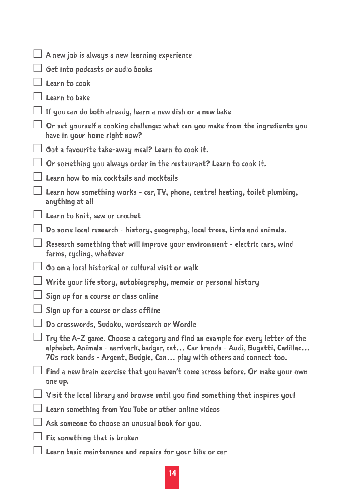| $\perp$ A new job is always a new learning experience                                                                                                                                                                                       |
|---------------------------------------------------------------------------------------------------------------------------------------------------------------------------------------------------------------------------------------------|
| Get into podcasts or audio books                                                                                                                                                                                                            |
| Learn to cook                                                                                                                                                                                                                               |
| Learn to bake                                                                                                                                                                                                                               |
| If you can do both already, learn a new dish or a new bake                                                                                                                                                                                  |
| Or set yourself a cooking challenge: what can you make from the ingredients you<br>have in your home right now?                                                                                                                             |
| $\Box$ Got a favourite take-away meal? Learn to cook it.                                                                                                                                                                                    |
| Or something you always order in the restaurant? Learn to cook it.                                                                                                                                                                          |
| Learn how to mix cocktails and mocktails                                                                                                                                                                                                    |
| Learn how something works - car, TV, phone, central heating, toilet plumbing,<br>anything at all                                                                                                                                            |
| $\Box$ Learn to knit, sew or crochet                                                                                                                                                                                                        |
| Do some local research - history, geography, local trees, birds and animals.                                                                                                                                                                |
| Research something that will improve your environment - electric cars, wind<br>farms, cycling, whatever                                                                                                                                     |
| Go on a local historical or cultural visit or walk                                                                                                                                                                                          |
| Write your life story, autobiography, memoir or personal history                                                                                                                                                                            |
| Sign up for a course or class online                                                                                                                                                                                                        |
| Sign up for a course or class offline                                                                                                                                                                                                       |
| Do crosswords, Sudoku, wordsearch or Wordle                                                                                                                                                                                                 |
| Try the A-Z game. Choose a category and find an example for every letter of the<br>alphabet. Animals - aardvark, badger, cat Car brands - Audi, Bugatti, Cadillac<br>70s rock bands - Argent, Budgie, Can play with others and connect too. |
| $\Box$ Find a new brain exercise that you haven't come across before. Or make your own<br>one up.                                                                                                                                           |
| Visit the local library and browse until you find something that inspires you!                                                                                                                                                              |
| Learn something from You Tube or other online videos                                                                                                                                                                                        |
| Ask someone to choose an unusual book for you.                                                                                                                                                                                              |
| Fix something that is broken                                                                                                                                                                                                                |
| Learn basic maintenance and repairs for your bike or car                                                                                                                                                                                    |

**14**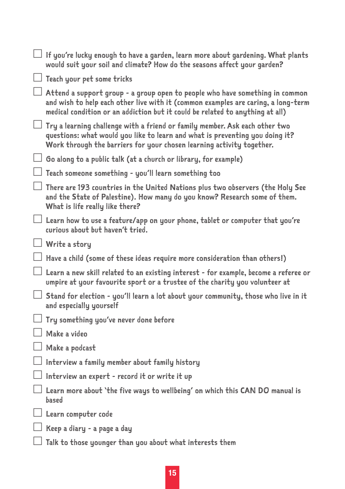| $\Box$ If you're lucky enough to have a garden, learn more about gardening. What plants<br>would suit your soil and climate? How do the seasons affect your garden?                                                                                       |
|-----------------------------------------------------------------------------------------------------------------------------------------------------------------------------------------------------------------------------------------------------------|
| $\Box$ Teach your pet some tricks                                                                                                                                                                                                                         |
| $\Box$ Attend a support group - a group open to people who have something in common<br>and wish to help each other live with it (common examples are caring, a long-term<br>medical condition or an addiction but it could be related to anything at all) |
| $\Box$ Try a learning challenge with a friend or family member. Ask each other two<br>questions: what would you like to learn and what is preventing you doing it?<br>Work through the barriers for your chosen learning activity together.               |
| $\Box$ Go along to a public talk (at a church or library, for example)                                                                                                                                                                                    |
| $\Box$ Teach someone something - you'll learn something too                                                                                                                                                                                               |
| $\Box$ There are 193 countries in the United Nations plus two observers (the Holy See<br>and the State of Palestine). How many do you know? Research some of them.<br>What is life really like there?                                                     |
| $\Box$ Learn how to use a feature/app on your phone, tablet or computer that you're<br>curious about but haven't tried.                                                                                                                                   |
| $\Box$ Write a story                                                                                                                                                                                                                                      |
| $\Box$ Have a child (some of these ideas require more consideration than others!)                                                                                                                                                                         |
| $\Box$ Learn a new skill related to an existing interest - for example, become a referee or<br>umpire at your favourite sport or a trustee of the charity you volunteer at                                                                                |
| $\Box$ Stand for election - you'll learn a lot about your community, those who live in it<br>and especially yourself                                                                                                                                      |
| $\Box$ Try something you've never done before                                                                                                                                                                                                             |
| l Make a video                                                                                                                                                                                                                                            |
| Make a podcast                                                                                                                                                                                                                                            |
| Interview a family member about family history                                                                                                                                                                                                            |
| $\Box$ Interview an expert - record it or write it up                                                                                                                                                                                                     |
| $\perp$ Learn more about 'the five ways to wellbeing' on which this CAN DO manual is<br>based                                                                                                                                                             |
| $\Box$ Learn computer code                                                                                                                                                                                                                                |
| $\Box$ Keep a diary - a page a day                                                                                                                                                                                                                        |
| Talk to those younger than you about what interests them                                                                                                                                                                                                  |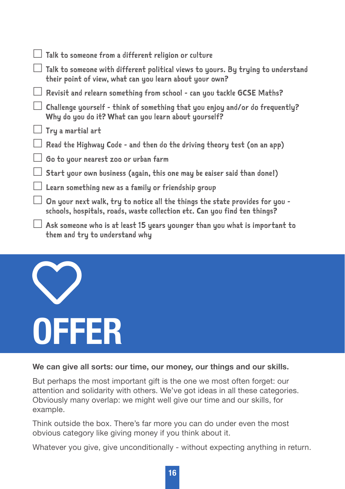|        | $\Box$ Talk to someone from a different religion or culture                                                                                               |
|--------|-----------------------------------------------------------------------------------------------------------------------------------------------------------|
|        | $\Box$ Talk to someone with different political views to yours. By trying to understand<br>their point of view, what can you learn about your own?        |
| $\Box$ | Revisit and relearn something from school - can you tackle GCSE Maths?                                                                                    |
|        | Challenge yourself - think of something that you enjoy and/or do frequently?<br>Why do you do it? What can you learn about yourself?                      |
|        | $\Box$ Try a martial art                                                                                                                                  |
|        | $\Box$ Read the Highway Code - and then do the driving theory test (on an app)                                                                            |
|        | $\Box$ Go to your nearest zoo or urban farm                                                                                                               |
|        | $\Box$ Start your own business (again, this one may be eaiser said than done!)                                                                            |
|        | $\Box$ Learn something new as a family or friendship group                                                                                                |
|        | On your next walk, try to notice all the things the state provides for you -<br>schools, hospitals, roads, waste collection etc. Can you find ten things? |
| $\Box$ | Ask someone who is at least 15 years younger than you what is important to<br>them and try to understand why                                              |

# V **OFFER**

#### **We can give all sorts: our time, our money, our things and our skills.**

But perhaps the most important gift is the one we most often forget: our attention and solidarity with others. We've got ideas in all these categories. Obviously many overlap: we might well give our time and our skills, for example.

Think outside the box. There's far more you can do under even the most obvious category like giving money if you think about it.

Whatever you give, give unconditionally - without expecting anything in return.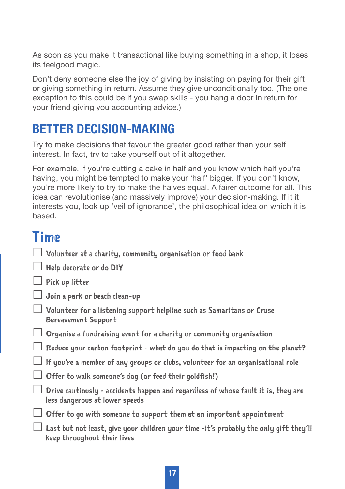As soon as you make it transactional like buying something in a shop, it loses its feelgood magic.

Don't deny someone else the joy of giving by insisting on paying for their gift or giving something in return. Assume they give unconditionally too. (The one exception to this could be if you swap skills - you hang a door in return for your friend giving you accounting advice.)

### **BETTER DECISION-MAKING**

Try to make decisions that favour the greater good rather than your self interest. In fact, try to take yourself out of it altogether.

For example, if you're cutting a cake in half and you know which half you're having, you might be tempted to make your 'half' bigger. If you don't know, you're more likely to try to make the halves equal. A fairer outcome for all. This idea can revolutionise (and massively improve) your decision-making. If it it interests you, look up 'veil of ignorance', the philosophical idea on which it is based.

## Time

 $\Box$  Volunteer at a charity, community organisation or food bank

Help decorate or do DIY

 $\Box$  Pick up litter

- $\Box$  Join a park or beach clean-up
- $\Box$  Volunteer for a listening support helpline such as Samaritans or Cruse Bereavement Support
- $\Box$  Organise a fundraising event for a charity or community organisation
	- $\Box$  Reduce your carbon footprint what do you do that is impacting on the planet?
- $\Box$  If you're a member of any groups or clubs, volunteer for an organisational role
- $\Box$  Offer to walk someone's dog (or feed their goldfish!)
- $\Box$  Drive cautiously accidents happen and regardless of whose fault it is, they are less dangerous at lower speeds
- $\Box$  Offer to go with someone to support them at an important appointment
- $\Box$  Last but not least, give your children your time -it's probably the only gift they'll keep throughout their lives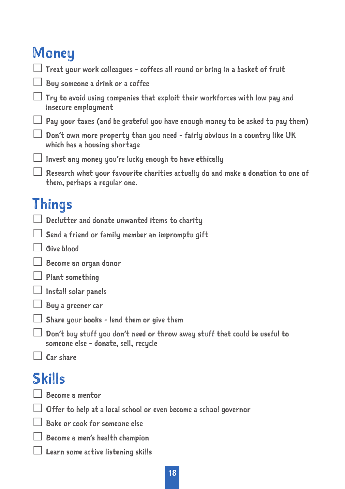# **Money**

| Treat your work colleagues - coffees all round or bring in a basket of fruit                                       |
|--------------------------------------------------------------------------------------------------------------------|
| Buy someone a drink or a coffee                                                                                    |
| Try to avoid using companies that exploit their workforces with low pay and<br>insecure employment                 |
| Pay your taxes (and be grateful you have enough money to be asked to pay them)                                     |
| Don't own more property than you need - fairly obvious in a country like UK<br>which has a housing shortage        |
| Invest any money you're lucky enough to have ethically                                                             |
| Research what your favourite charities actually do and make a donation to one of<br>them, perhaps a regular one.   |
| <b>Things</b>                                                                                                      |
| Declutter and donate unwanted items to charity                                                                     |
| Send a friend or family member an impromptu gift                                                                   |
| Give blood                                                                                                         |
| Become an organ donor                                                                                              |
| Plant something                                                                                                    |
| Install solar panels                                                                                               |
| Buy a greener car                                                                                                  |
| Share your books - lend them or give them                                                                          |
| Don't buy stuff you don't need or throw away stuff that could be useful to<br>someone else - donate, sell, recycle |
| Car share                                                                                                          |
| <b>Skills</b><br>$\Box$ Become a mentor                                                                            |
|                                                                                                                    |

Offer to help at a local school or even become a school governor

Bake or cook for someone else

Become a men's health champion

Learn some active listening skills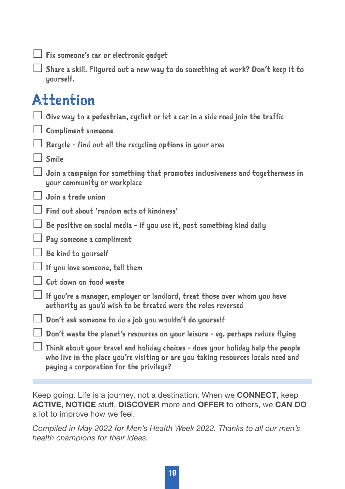|  |  | $\Box$ Fix someone's car or electronic gadget |  |  |  |  |
|--|--|-----------------------------------------------|--|--|--|--|
|--|--|-----------------------------------------------|--|--|--|--|

 $\Box$  Share a skill. Fiigured out a new way to do something at work? Don't keep it to yourself.

# Attention

|  |  |  | $\Box$ Give way to a pedestrian, cyclist or let a car in a side road join the traffic |  |  |  |  |  |  |  |  |  |  |
|--|--|--|---------------------------------------------------------------------------------------|--|--|--|--|--|--|--|--|--|--|
|--|--|--|---------------------------------------------------------------------------------------|--|--|--|--|--|--|--|--|--|--|

 $\Box$  Compliment someone

Recycle - find out all the recycling options in your area

Smile

 Join a campaign for something that promotes inclusiveness and togetherness in your community or workplace

 $\Box$  Join a trade union

Find out about 'random acts of kindness'

 $\Box$  Be positive on social media - if you use it, post something kind daily

Pay someone a compliment

Be kind to yourself

 $\Box$  If you love someone, tell them

Cut down on food waste

 $\Box$  If you're a manager, employer or landlord, treat those over whom you have authority as you'd wish to be treated were the roles reversed

- $\Box$  Don't ask someone to do a job you wouldn't do yourself
- $\Box$  Don't waste the planet's resources on your leisure eq. perhaps reduce flying

 $\Box$  Think about your travel and holiday choices - does your holiday help the people who live in the place you're visiting or are you taking resources locals need and paying a corporation for the privilege?

Keep going. Life is a journey, not a destination. When we **CONNECT**, keep **ACTIVE**, **NOTICE** stuff, **DISCOVER** more and **OFFER** to others, we **CAN DO** a lot to improve how we feel.

*Compiled in May 2022 for Men's Health Week 2022. Thanks to all our men's health champions for their ideas.*